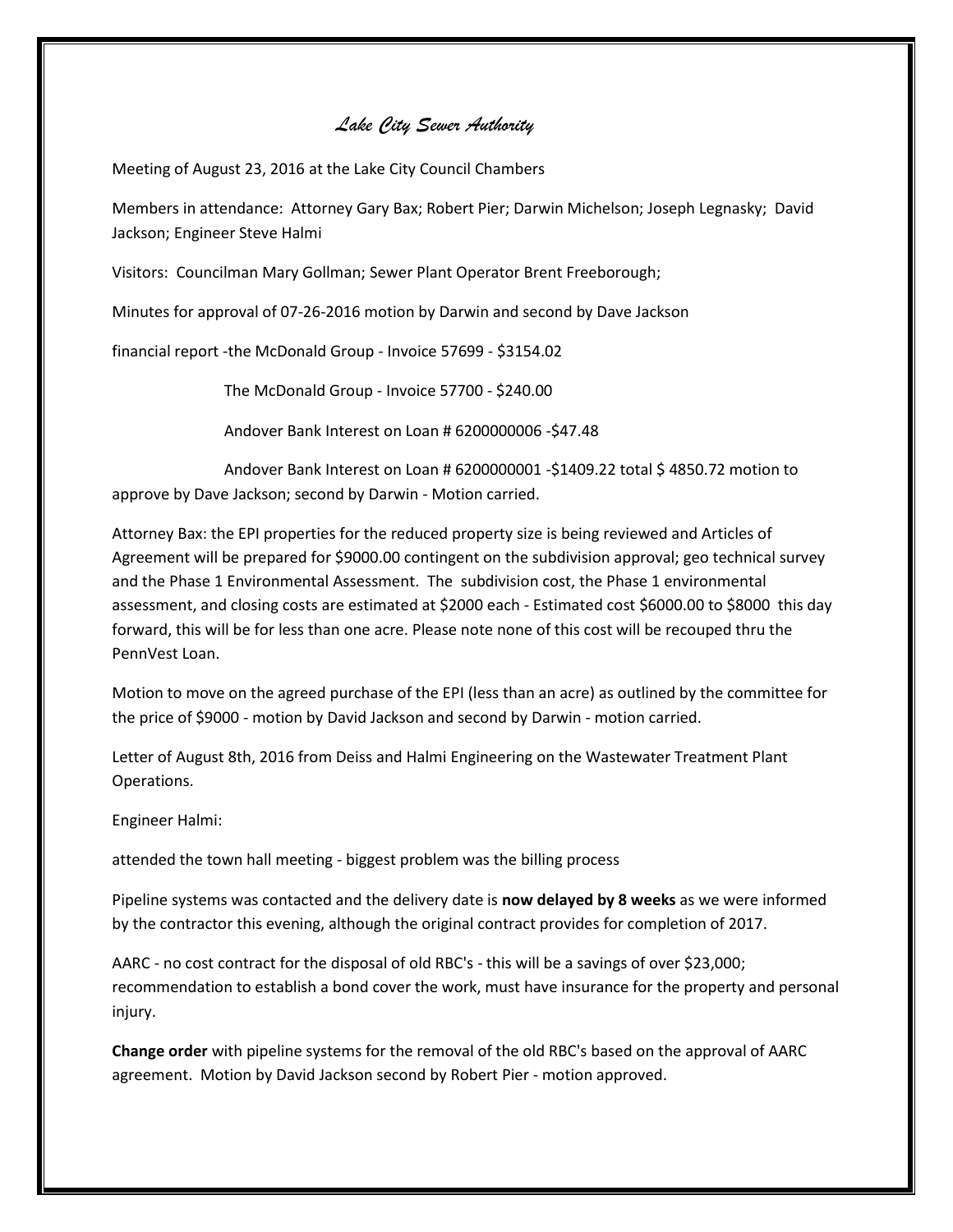## *Lake City Sewer Authority*

Meeting of August 23, 2016 at the Lake City Council Chambers

Members in attendance: Attorney Gary Bax; Robert Pier; Darwin Michelson; Joseph Legnasky; David Jackson; Engineer Steve Halmi

Visitors: Councilman Mary Gollman; Sewer Plant Operator Brent Freeborough;

Minutes for approval of 07-26-2016 motion by Darwin and second by Dave Jackson

financial report -the McDonald Group - Invoice 57699 - \$3154.02

The McDonald Group - Invoice 57700 - \$240.00

Andover Bank Interest on Loan # 6200000006 -\$47.48

Andover Bank Interest on Loan # 6200000001 -\$1409.22 total \$ 4850.72 motion to approve by Dave Jackson; second by Darwin - Motion carried.

Attorney Bax: the EPI properties for the reduced property size is being reviewed and Articles of Agreement will be prepared for \$9000.00 contingent on the subdivision approval; geo technical survey and the Phase 1 Environmental Assessment. The subdivision cost, the Phase 1 environmental assessment, and closing costs are estimated at \$2000 each - Estimated cost \$6000.00 to \$8000 this day forward, this will be for less than one acre. Please note none of this cost will be recouped thru the PennVest Loan.

Motion to move on the agreed purchase of the EPI (less than an acre) as outlined by the committee for the price of \$9000 - motion by David Jackson and second by Darwin - motion carried.

Letter of August 8th, 2016 from Deiss and Halmi Engineering on the Wastewater Treatment Plant Operations.

Engineer Halmi:

attended the town hall meeting - biggest problem was the billing process

Pipeline systems was contacted and the delivery date is **now delayed by 8 weeks** as we were informed by the contractor this evening, although the original contract provides for completion of 2017.

AARC - no cost contract for the disposal of old RBC's - this will be a savings of over \$23,000; recommendation to establish a bond cover the work, must have insurance for the property and personal injury.

**Change order** with pipeline systems for the removal of the old RBC's based on the approval of AARC agreement. Motion by David Jackson second by Robert Pier - motion approved.